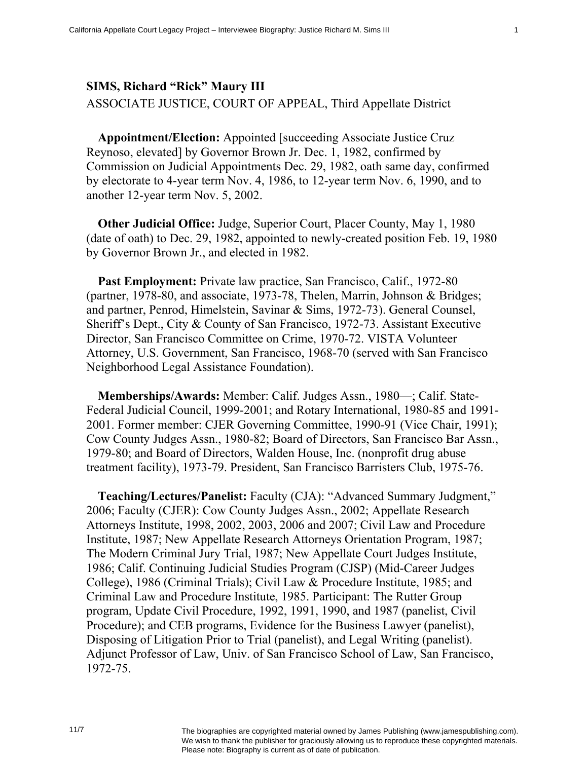## **SIMS, Richard "Rick" Maury III**  ASSOCIATE JUSTICE, COURT OF APPEAL, Third Appellate District

**Appointment/Election:** Appointed [succeeding Associate Justice Cruz Reynoso, elevated] by Governor Brown Jr. Dec. 1, 1982, confirmed by Commission on Judicial Appointments Dec. 29, 1982, oath same day, confirmed by electorate to 4-year term Nov. 4, 1986, to 12-year term Nov. 6, 1990, and to another 12-year term Nov. 5, 2002.

**Other Judicial Office:** Judge, Superior Court, Placer County, May 1, 1980 (date of oath) to Dec. 29, 1982, appointed to newly-created position Feb. 19, 1980 by Governor Brown Jr., and elected in 1982.

**Past Employment:** Private law practice, San Francisco, Calif., 1972-80 (partner, 1978-80, and associate, 1973-78, Thelen, Marrin, Johnson & Bridges; and partner, Penrod, Himelstein, Savinar & Sims, 1972-73). General Counsel, Sheriff's Dept., City & County of San Francisco, 1972-73. Assistant Executive Director, San Francisco Committee on Crime, 1970-72. VISTA Volunteer Attorney, U.S. Government, San Francisco, 1968-70 (served with San Francisco Neighborhood Legal Assistance Foundation).

**Memberships/Awards:** Member: Calif. Judges Assn., 1980—; Calif. State-Federal Judicial Council, 1999-2001; and Rotary International, 1980-85 and 1991- 2001. Former member: CJER Governing Committee, 1990-91 (Vice Chair, 1991); Cow County Judges Assn., 1980-82; Board of Directors, San Francisco Bar Assn., 1979-80; and Board of Directors, Walden House, Inc. (nonprofit drug abuse treatment facility), 1973-79. President, San Francisco Barristers Club, 1975-76.

**Teaching/Lectures/Panelist:** Faculty (CJA): "Advanced Summary Judgment," 2006; Faculty (CJER): Cow County Judges Assn., 2002; Appellate Research Attorneys Institute, 1998, 2002, 2003, 2006 and 2007; Civil Law and Procedure Institute, 1987; New Appellate Research Attorneys Orientation Program, 1987; The Modern Criminal Jury Trial, 1987; New Appellate Court Judges Institute, 1986; Calif. Continuing Judicial Studies Program (CJSP) (Mid-Career Judges College), 1986 (Criminal Trials); Civil Law & Procedure Institute, 1985; and Criminal Law and Procedure Institute, 1985. Participant: The Rutter Group program, Update Civil Procedure, 1992, 1991, 1990, and 1987 (panelist, Civil Procedure); and CEB programs, Evidence for the Business Lawyer (panelist), Disposing of Litigation Prior to Trial (panelist), and Legal Writing (panelist). Adjunct Professor of Law, Univ. of San Francisco School of Law, San Francisco, 1972-75.